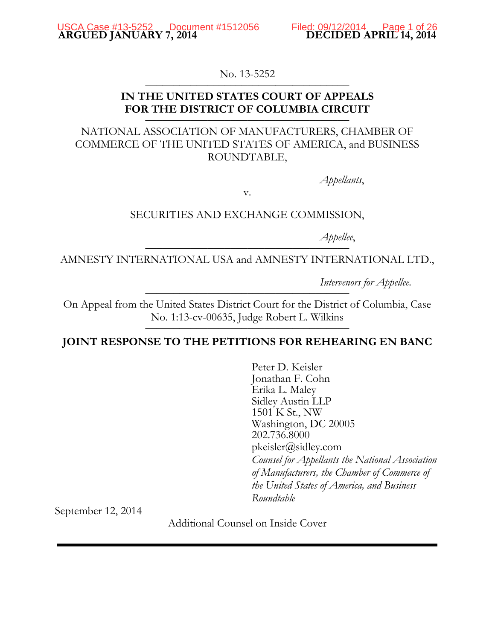No. 13-5252

# **IN THE UNITED STATES COURT OF APPEALS** FOR THE DISTRICT OF COLUMBIA CIRCUIT

# NATIONAL ASSOCIATION OF MANUFACTURERS, CHAMBER OF COMMERCE OF THE UNITED STATES OF AMERICA, and BUSINESS ROUNDTABLE,

*Appellants*,

v.

## SECURITIES AND EXCHANGE COMMISSION,

*Appellee*, \_\_\_\_\_\_\_\_\_\_\_\_\_\_\_\_\_\_\_\_\_\_\_\_\_\_\_\_\_\_\_\_\_\_\_\_

AMNESTY INTERNATIONAL USA and AMNESTY INTERNATIONAL LTD.,

*Intervenors for Appellee.* 

On Appeal from the United States District Court for the District of Columbia, Case No. 1:13-cv-00635, Judge Robert L. Wilkins

# **JOINT RESPONSE TO THE PETITIONS FOR REHEARING EN BANC**

Peter D. Keisler Jonathan F. Cohn Erika L. Maley Sidley Austin LLP 1501 K St., NW Washington, DC 20005 202.736.8000 pkeisler@sidley.com *Counsel for Appellants the National Association of Manufacturers, the Chamber of Commerce of the United States of America, and Business Roundtable*

September 12, 2014

Additional Counsel on Inside Cover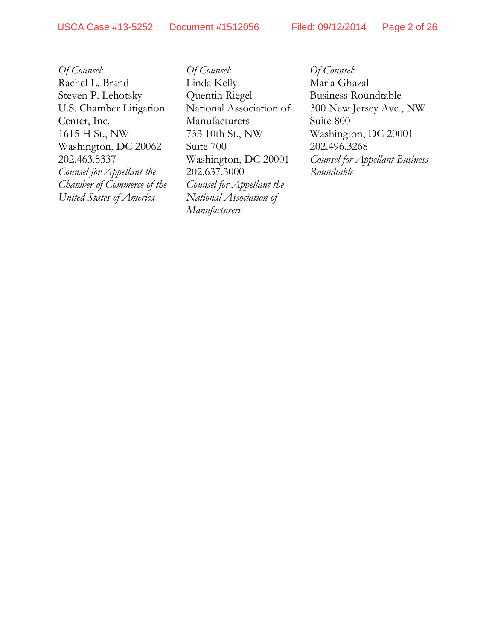*Of Counsel*: Rachel L. Brand Steven P. Lehotsky U.S. Chamber Litigation Center, Inc. 1615 H St., NW Washington, DC 20062 202.463.5337 *Counsel for Appellant the Chamber of Commerce of the United States of America*

*Of Counsel*: Linda Kelly Quentin Riegel National Association of Manufacturers 733 10th St., NW Suite 700 Washington, DC 20001 202.637.3000 *Counsel for Appellant the National Association of Manufacturers*

*Of Counsel*: Maria Ghazal Business Roundtable 300 New Jersey Ave., NW Suite 800 Washington, DC 20001 202.496.3268 *Counsel for Appellant Business Roundtable*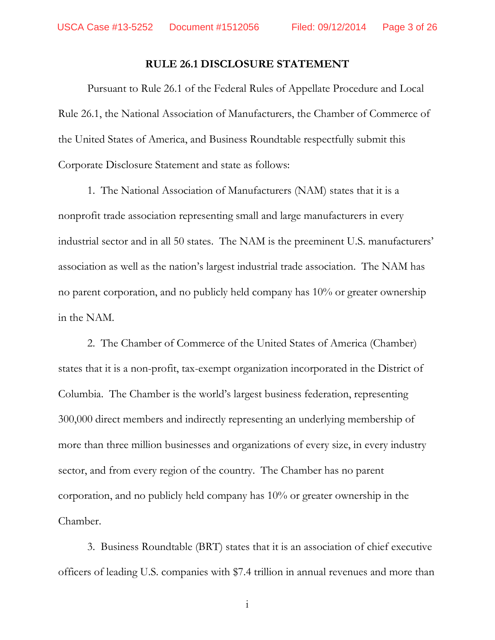## **RULE 26.1 DISCLOSURE STATEMENT**

Pursuant to Rule 26.1 of the Federal Rules of Appellate Procedure and Local Rule 26.1, the National Association of Manufacturers, the Chamber of Commerce of the United States of America, and Business Roundtable respectfully submit this Corporate Disclosure Statement and state as follows:

1. The National Association of Manufacturers (NAM) states that it is a nonprofit trade association representing small and large manufacturers in every industrial sector and in all 50 states. The NAM is the preeminent U.S. manufacturers' association as well as the nation's largest industrial trade association. The NAM has no parent corporation, and no publicly held company has 10% or greater ownership in the NAM.

2. The Chamber of Commerce of the United States of America (Chamber) states that it is a non-profit, tax-exempt organization incorporated in the District of Columbia. The Chamber is the world's largest business federation, representing 300,000 direct members and indirectly representing an underlying membership of more than three million businesses and organizations of every size, in every industry sector, and from every region of the country. The Chamber has no parent corporation, and no publicly held company has 10% or greater ownership in the Chamber.

3. Business Roundtable (BRT) states that it is an association of chief executive officers of leading U.S. companies with \$7.4 trillion in annual revenues and more than

i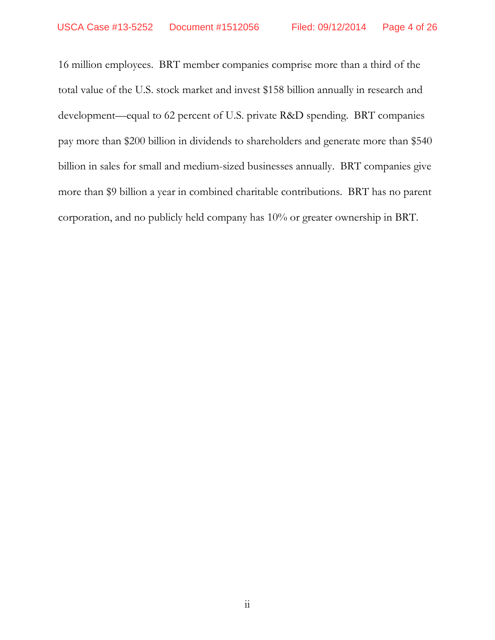16 million employees. BRT member companies comprise more than a third of the total value of the U.S. stock market and invest \$158 billion annually in research and development—equal to 62 percent of U.S. private R&D spending. BRT companies pay more than \$200 billion in dividends to shareholders and generate more than \$540 billion in sales for small and medium-sized businesses annually. BRT companies give more than \$9 billion a year in combined charitable contributions. BRT has no parent corporation, and no publicly held company has 10% or greater ownership in BRT.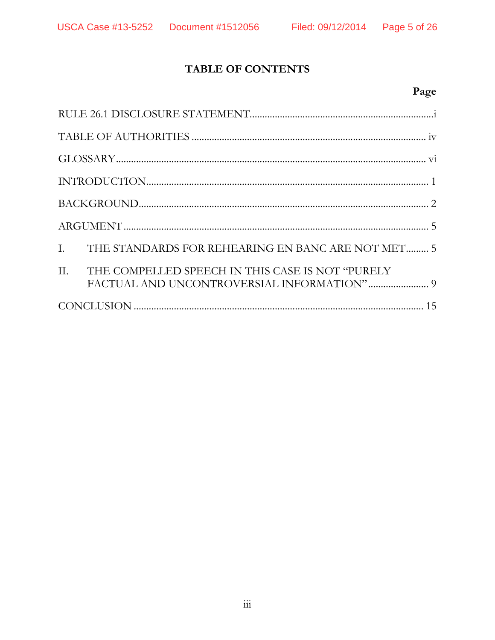# TABLE OF CONTENTS

# Page

|  | I. THE STANDARDS FOR REHEARING EN BANC ARE NOT MET 5 |  |  |
|--|------------------------------------------------------|--|--|
|  | II. THE COMPELLED SPEECH IN THIS CASE IS NOT "PURELY |  |  |
|  |                                                      |  |  |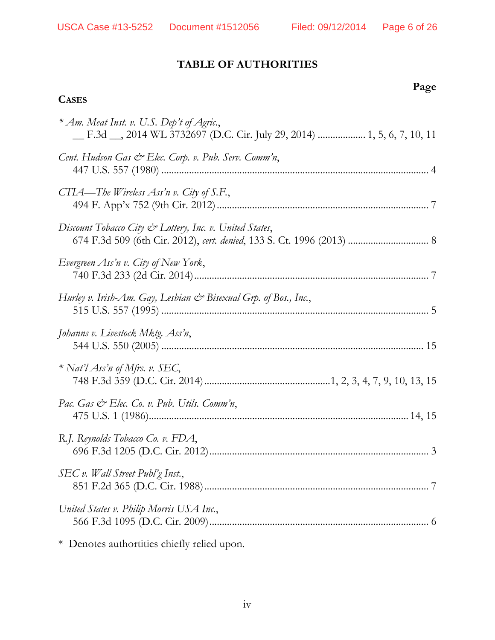**Page**

# **TABLE OF AUTHORITIES**

## **CASES**

| * Am. Meat Inst. v. U.S. Dep't of Agric.,<br>_F.3d __, 2014 WL 3732697 (D.C. Cir. July 29, 2014)  1, 5, 6, 7, 10, 11 |
|----------------------------------------------------------------------------------------------------------------------|
| Cent. Hudson Gas & Elec. Corp. v. Pub. Serv. Comm'n,                                                                 |
| CTIA—The Wireless Ass'n v. City of S.F.,                                                                             |
| Discount Tobacco City & Lottery, Inc. v. United States,                                                              |
| Evergreen Ass'n v. City of New York,                                                                                 |
| Hurley v. Irish-Am. Gay, Lesbian & Bisexual Grp. of Bos., Inc.,                                                      |
| Johanns v. Livestock Mktg. Ass'n,                                                                                    |
| * Nat'l Ass'n of Mfrs. v. SEC,                                                                                       |
| Pac. Gas & Elec. Co. v. Pub. Utils. Comm'n,                                                                          |
| R.J. Reynolds Tobacco Co. v. FDA,                                                                                    |
| SEC v. Wall Street Publ'g Inst.,                                                                                     |
| United States v. Philip Morris USA Inc.,                                                                             |
| * Denotes authortities chiefly relied upon.                                                                          |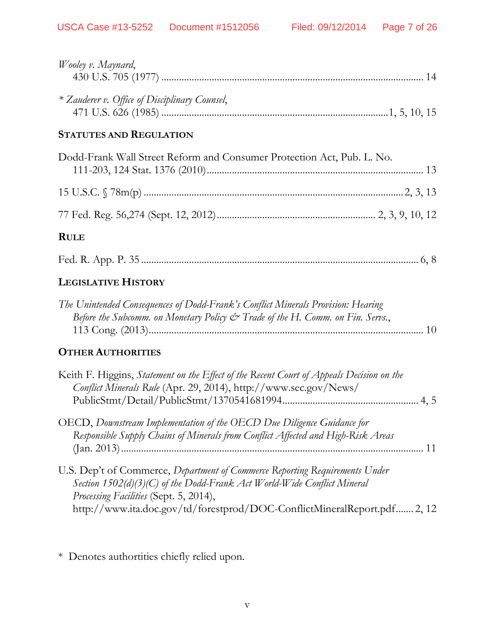| Wooley v. Maynard,                                                                                                                                                                                                                                                           |
|------------------------------------------------------------------------------------------------------------------------------------------------------------------------------------------------------------------------------------------------------------------------------|
| * Zauderer v. Office of Disciplinary Counsel,                                                                                                                                                                                                                                |
| <b>STATUTES AND REGULATION</b>                                                                                                                                                                                                                                               |
| Dodd-Frank Wall Street Reform and Consumer Protection Act, Pub. L. No.                                                                                                                                                                                                       |
|                                                                                                                                                                                                                                                                              |
|                                                                                                                                                                                                                                                                              |
| <b>RULE</b>                                                                                                                                                                                                                                                                  |
|                                                                                                                                                                                                                                                                              |
| <b>LEGISLATIVE HISTORY</b>                                                                                                                                                                                                                                                   |
| The Unintended Consequences of Dodd-Frank's Conflict Minerals Provision: Hearing<br>Before the Subcomm. on Monetary Policy & Trade of the H. Comm. on Fin. Servs.,                                                                                                           |
| <b>OTHER AUTHORITIES</b>                                                                                                                                                                                                                                                     |
| Keith F. Higgins, Statement on the Effect of the Recent Court of Appeals Decision on the<br>Conflict Minerals Rule (Apr. 29, 2014), http://www.sec.gov/News/                                                                                                                 |
| OECD, Downstream Implementation of the OECD Due Diligence Guidance for<br>Responsible Supply Chains of Minerals from Conflict Affected and High-Risk Areas                                                                                                                   |
| U.S. Dep't of Commerce, Department of Commerce Reporting Requirements Under<br>Section 1502(d)(3)(C) of the Dodd-Frank Act World-Wide Conflict Mineral<br>Processing Facilities (Sept. 5, 2014),<br>http://www.ita.doc.gov/td/forestprod/DOC-ConflictMineralReport.pdf 2, 12 |

\* Denotes authortities chiefly relied upon.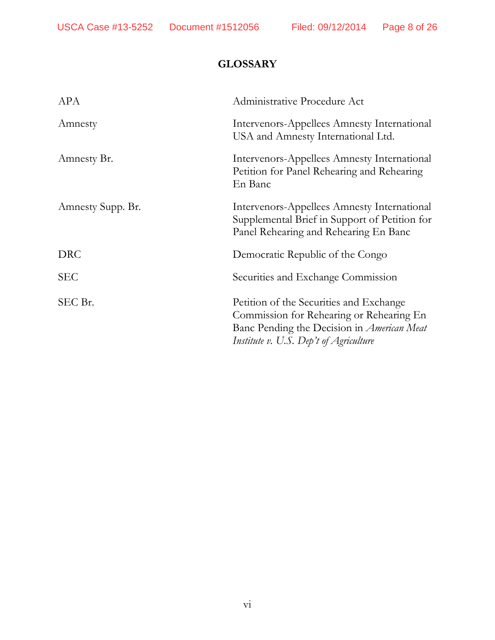# **GLOSSARY**

| APA               | Administrative Procedure Act                                                                                                                                                       |
|-------------------|------------------------------------------------------------------------------------------------------------------------------------------------------------------------------------|
| Amnesty           | Intervenors-Appellees Amnesty International<br>USA and Amnesty International Ltd.                                                                                                  |
| Amnesty Br.       | Intervenors-Appellees Amnesty International<br>Petition for Panel Rehearing and Rehearing<br>En Banc                                                                               |
| Amnesty Supp. Br. | Intervenors-Appellees Amnesty International<br>Supplemental Brief in Support of Petition for<br>Panel Rehearing and Rehearing En Banc                                              |
| <b>DRC</b>        | Democratic Republic of the Congo                                                                                                                                                   |
| SEC               | Securities and Exchange Commission                                                                                                                                                 |
| SEC Br.           | Petition of the Securities and Exchange<br>Commission for Rehearing or Rehearing En<br>Banc Pending the Decision in <i>American Meat</i><br>Institute v. U.S. Dep't of Agriculture |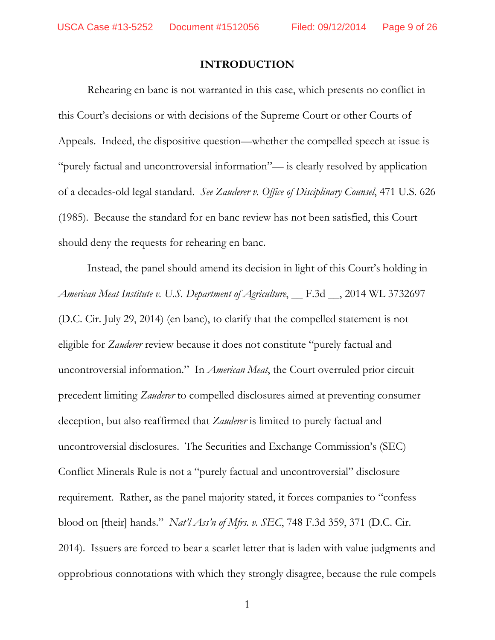## **INTRODUCTION**

Rehearing en banc is not warranted in this case, which presents no conflict in this Court's decisions or with decisions of the Supreme Court or other Courts of Appeals. Indeed, the dispositive question—whether the compelled speech at issue is "purely factual and uncontroversial information"— is clearly resolved by application of a decades-old legal standard. *See Zauderer v. Office of Disciplinary Counsel*, 471 U.S. 626 (1985). Because the standard for en banc review has not been satisfied, this Court should deny the requests for rehearing en banc.

Instead, the panel should amend its decision in light of this Court's holding in *American Meat Institute v. U.S. Department of Agriculture*, <u></u> F.3d <sub>,</sub> 2014 WL 3732697 (D.C. Cir. July 29, 2014) (en banc), to clarify that the compelled statement is not eligible for *Zauderer* review because it does not constitute "purely factual and uncontroversial information." In *American Meat*, the Court overruled prior circuit precedent limiting *Zauderer* to compelled disclosures aimed at preventing consumer deception, but also reaffirmed that *Zauderer* is limited to purely factual and uncontroversial disclosures. The Securities and Exchange Commission's (SEC) Conflict Minerals Rule is not a "purely factual and uncontroversial" disclosure requirement. Rather, as the panel majority stated, it forces companies to "confess blood on [their] hands." *Nat'l Ass'n of Mfrs. v. SEC*, 748 F.3d 359, 371 (D.C. Cir. 2014).Issuers are forced to bear a scarlet letter that is laden with value judgments and opprobrious connotations with which they strongly disagree, because the rule compels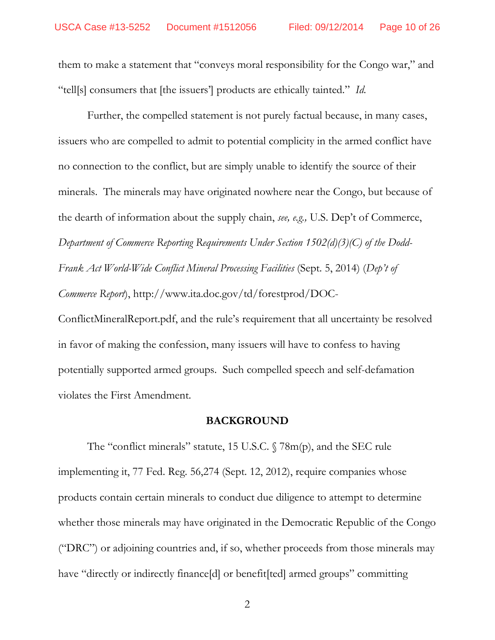them to make a statement that "conveys moral responsibility for the Congo war," and "tell[s] consumers that [the issuers'] products are ethically tainted." *Id.*

Further, the compelled statement is not purely factual because, in many cases, issuers who are compelled to admit to potential complicity in the armed conflict have no connection to the conflict, but are simply unable to identify the source of their minerals. The minerals may have originated nowhere near the Congo, but because of the dearth of information about the supply chain, *see, e.g.,* U.S. Dep't of Commerce, *Department of Commerce Reporting Requirements Under Section 1502(d)(3)(C) of the Dodd-Frank Act World-Wide Conflict Mineral Processing Facilities* (Sept. 5, 2014) (*Dep't of Commerce Report*), http://www.ita.doc.gov/td/forestprod/DOC-

ConflictMineralReport.pdf, and the rule's requirement that all uncertainty be resolved in favor of making the confession, many issuers will have to confess to having potentially supported armed groups. Such compelled speech and self-defamation violates the First Amendment.

#### **BACKGROUND**

The "conflict minerals" statute, 15 U.S.C. § 78m(p), and the SEC rule implementing it, 77 Fed. Reg. 56,274 (Sept. 12, 2012), require companies whose products contain certain minerals to conduct due diligence to attempt to determine whether those minerals may have originated in the Democratic Republic of the Congo ("DRC") or adjoining countries and, if so, whether proceeds from those minerals may have "directly or indirectly finance[d] or benefit[ted] armed groups" committing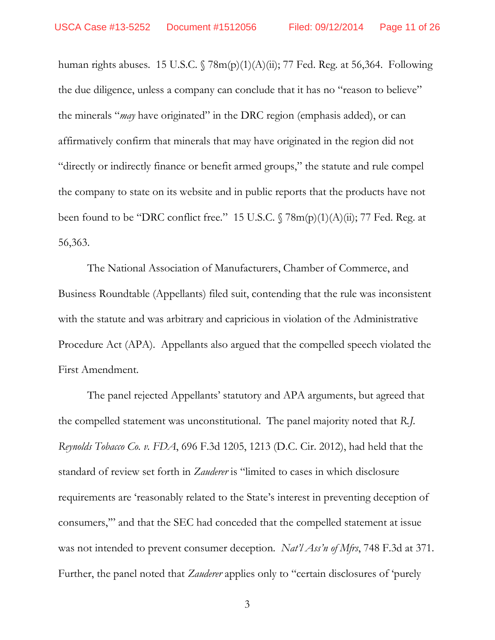human rights abuses. 15 U.S.C.  $\sqrt{78m(p)(1)(A)(ii)}$ ; 77 Fed. Reg. at 56,364. Following the due diligence, unless a company can conclude that it has no "reason to believe" the minerals "*may* have originated" in the DRC region (emphasis added), or can affirmatively confirm that minerals that may have originated in the region did not "directly or indirectly finance or benefit armed groups," the statute and rule compel the company to state on its website and in public reports that the products have not been found to be "DRC conflict free." 15 U.S.C.  $\sqrt{78m(p)(1)(A)(ii)}$ ; 77 Fed. Reg. at 56,363.

The National Association of Manufacturers, Chamber of Commerce, and Business Roundtable (Appellants) filed suit, contending that the rule was inconsistent with the statute and was arbitrary and capricious in violation of the Administrative Procedure Act (APA). Appellants also argued that the compelled speech violated the First Amendment.

The panel rejected Appellants' statutory and APA arguments, but agreed that the compelled statement was unconstitutional. The panel majority noted that *R.J. Reynolds Tobacco Co. v. FDA*, 696 F.3d 1205, 1213 (D.C. Cir. 2012), had held that the standard of review set forth in *Zauderer* is "limited to cases in which disclosure requirements are 'reasonably related to the State's interest in preventing deception of consumers,'" and that the SEC had conceded that the compelled statement at issue was not intended to prevent consumer deception. *Nat'l Ass'n of Mfrs*, 748 F.3d at 371. Further, the panel noted that *Zauderer* applies only to "certain disclosures of 'purely

3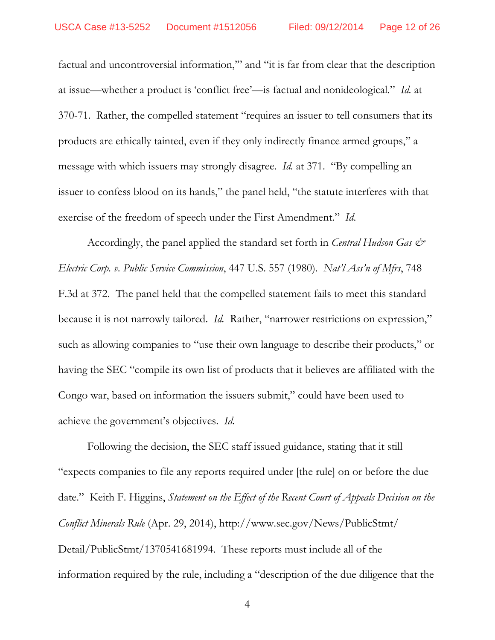factual and uncontroversial information,'" and "it is far from clear that the description at issue—whether a product is 'conflict free'—is factual and nonideological." *Id.* at 370-71. Rather, the compelled statement "requires an issuer to tell consumers that its products are ethically tainted, even if they only indirectly finance armed groups," a message with which issuers may strongly disagree. *Id.* at 371. "By compelling an issuer to confess blood on its hands," the panel held, "the statute interferes with that exercise of the freedom of speech under the First Amendment." *Id*.

Accordingly, the panel applied the standard set forth in *Central Hudson Gas & Electric Corp. v. Public Service Commission*, 447 U.S. 557 (1980). *Nat'l Ass'n of Mfrs*, 748 F.3d at 372. The panel held that the compelled statement fails to meet this standard because it is not narrowly tailored. *Id.* Rather, "narrower restrictions on expression," such as allowing companies to "use their own language to describe their products," or having the SEC "compile its own list of products that it believes are affiliated with the Congo war, based on information the issuers submit," could have been used to achieve the government's objectives. *Id.*

Following the decision, the SEC staff issued guidance, stating that it still "expects companies to file any reports required under [the rule] on or before the due date." Keith F. Higgins, *Statement on the Effect of the Recent Court of Appeals Decision on the Conflict Minerals Rule* (Apr. 29, 2014), http://www.sec.gov/News/PublicStmt/ Detail/PublicStmt/1370541681994. These reports must include all of the information required by the rule, including a "description of the due diligence that the

4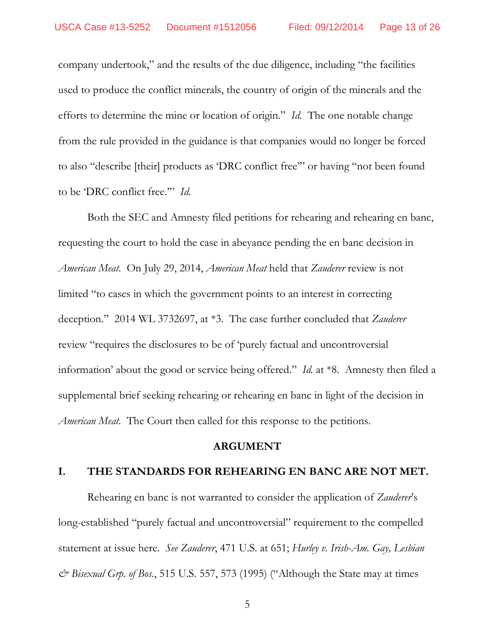company undertook," and the results of the due diligence, including "the facilities used to produce the conflict minerals, the country of origin of the minerals and the efforts to determine the mine or location of origin." *Id.* The one notable change from the rule provided in the guidance is that companies would no longer be forced to also "describe [their] products as 'DRC conflict free'" or having "not been found to be 'DRC conflict free.'" *Id.* 

Both the SEC and Amnesty filed petitions for rehearing and rehearing en banc, requesting the court to hold the case in abeyance pending the en banc decision in *American Meat*. On July 29, 2014, *American Meat* held that *Zauderer* review is not limited "to cases in which the government points to an interest in correcting deception." 2014 WL 3732697, at \*3. The case further concluded that *Zauderer*  review "requires the disclosures to be of 'purely factual and uncontroversial information' about the good or service being offered." *Id.* at \*8. Amnesty then filed a supplemental brief seeking rehearing or rehearing en banc in light of the decision in *American Meat*. The Court then called for this response to the petitions.

### **ARGUMENT**

## **I. THE STANDARDS FOR REHEARING EN BANC ARE NOT MET.**

Rehearing en banc is not warranted to consider the application of *Zauderer*'s long-established "purely factual and uncontroversial" requirement to the compelled statement at issue here. *See Zauderer*, 471 U.S. at 651; *Hurley v. Irish-Am. Gay, Lesbian & Bisexual Grp. of Bos.*, 515 U.S. 557, 573 (1995) ("Although the State may at times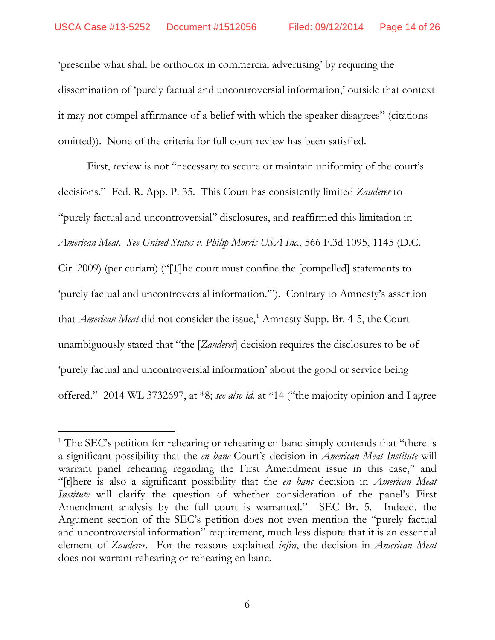'prescribe what shall be orthodox in commercial advertising' by requiring the dissemination of 'purely factual and uncontroversial information,' outside that context it may not compel affirmance of a belief with which the speaker disagrees" (citations omitted)). None of the criteria for full court review has been satisfied.

First, review is not "necessary to secure or maintain uniformity of the court's decisions." Fed. R. App. P. 35. This Court has consistently limited *Zauderer* to "purely factual and uncontroversial" disclosures, and reaffirmed this limitation in *American Meat*. *See United States v. Philip Morris USA Inc.*, 566 F.3d 1095, 1145 (D.C. Cir. 2009) (per curiam) ("[T]he court must confine the [compelled] statements to 'purely factual and uncontroversial information.'"). Contrary to Amnesty's assertion that *American Meat* did not consider the issue,<sup>[1](#page-13-0)</sup> Amnesty Supp. Br. 4-5, the Court unambiguously stated that "the [*Zauderer*] decision requires the disclosures to be of 'purely factual and uncontroversial information' about the good or service being offered." 2014 WL 3732697, at \*8; *see also id.* at \*14 ("the majority opinion and I agree

<span id="page-13-0"></span><sup>&</sup>lt;sup>1</sup> The SEC's petition for rehearing or rehearing en banc simply contends that "there is a significant possibility that the *en banc* Court's decision in *American Meat Institute* will warrant panel rehearing regarding the First Amendment issue in this case," and "[t]here is also a significant possibility that the *en banc* decision in *American Meat Institute* will clarify the question of whether consideration of the panel's First Amendment analysis by the full court is warranted." SEC Br. 5. Indeed, the Argument section of the SEC's petition does not even mention the "purely factual and uncontroversial information" requirement, much less dispute that it is an essential element of *Zauderer*. For the reasons explained *infra*, the decision in *American Meat*  does not warrant rehearing or rehearing en banc.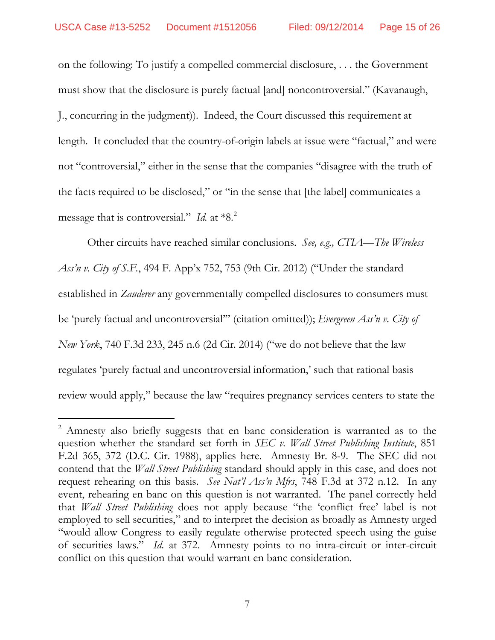on the following: To justify a compelled commercial disclosure, . . . the Government must show that the disclosure is purely factual [and] noncontroversial." (Kavanaugh, J., concurring in the judgment)). Indeed, the Court discussed this requirement at length. It concluded that the country-of-origin labels at issue were "factual," and were not "controversial," either in the sense that the companies "disagree with the truth of the facts required to be disclosed," or "in the sense that [the label] communicates a message that is controversial." *Id.* at \*8.[2](#page-14-0)

Other circuits have reached similar conclusions. *See, e.g., CTIA—The Wireless Ass'n v. City of S.F.*, 494 F. App'x 752, 753 (9th Cir. 2012) ("Under the standard established in *Zauderer* any governmentally compelled disclosures to consumers must be 'purely factual and uncontroversial'" (citation omitted)); *Evergreen Ass'n v. City of New York*, 740 F.3d 233, 245 n.6 (2d Cir. 2014) ("we do not believe that the law regulates 'purely factual and uncontroversial information,' such that rational basis review would apply," because the law "requires pregnancy services centers to state the

<span id="page-14-0"></span><sup>&</sup>lt;sup>2</sup> Amnesty also briefly suggests that en banc consideration is warranted as to the question whether the standard set forth in *SEC v. Wall Street Publishing Institute*, 851 F.2d 365, 372 (D.C. Cir. 1988), applies here. Amnesty Br. 8-9. The SEC did not contend that the *Wall Street Publishing* standard should apply in this case, and does not request rehearing on this basis. *See Nat'l Ass'n Mfrs*, 748 F.3d at 372 n.12. In any event, rehearing en banc on this question is not warranted. The panel correctly held that *Wall Street Publishing* does not apply because "the 'conflict free' label is not employed to sell securities," and to interpret the decision as broadly as Amnesty urged "would allow Congress to easily regulate otherwise protected speech using the guise of securities laws." *Id.* at 372. Amnesty points to no intra-circuit or inter-circuit conflict on this question that would warrant en banc consideration.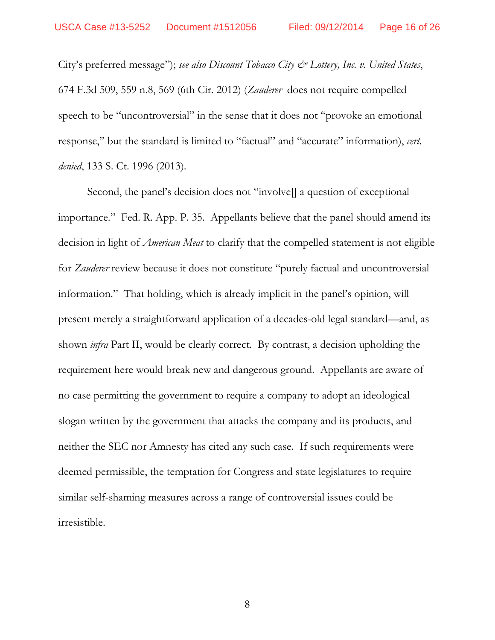City's preferred message"); *see also Discount Tobacco City & Lottery, Inc. v. United States*, 674 F.3d 509, 559 n.8, 569 (6th Cir. 2012) (*Zauderer* does not require compelled speech to be "uncontroversial" in the sense that it does not "provoke an emotional response," but the standard is limited to "factual" and "accurate" information), *cert. denied*, 133 S. Ct. 1996 (2013).

Second, the panel's decision does not "involve<sup>[]</sup> a question of exceptional importance." Fed. R. App. P. 35. Appellants believe that the panel should amend its decision in light of *American Meat* to clarify that the compelled statement is not eligible for *Zauderer* review because it does not constitute "purely factual and uncontroversial information." That holding, which is already implicit in the panel's opinion, will present merely a straightforward application of a decades-old legal standard—and, as shown *infra* Part II, would be clearly correct. By contrast, a decision upholding the requirement here would break new and dangerous ground. Appellants are aware of no case permitting the government to require a company to adopt an ideological slogan written by the government that attacks the company and its products, and neither the SEC nor Amnesty has cited any such case. If such requirements were deemed permissible, the temptation for Congress and state legislatures to require similar self-shaming measures across a range of controversial issues could be irresistible.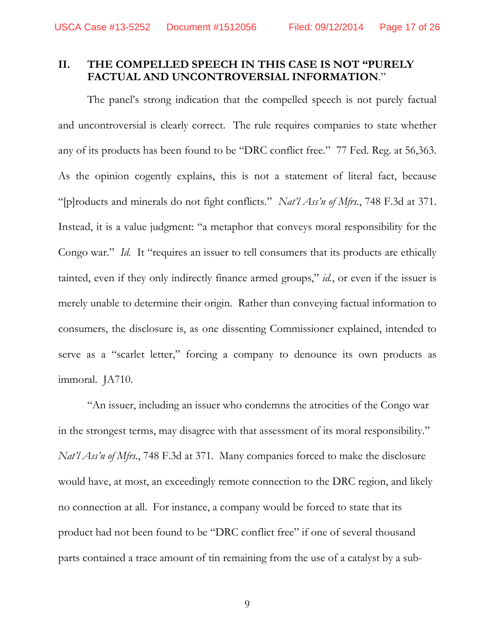## **II. THE COMPELLED SPEECH IN THIS CASE IS NOT "PURELY FACTUAL AND UNCONTROVERSIAL INFORMATION**."

The panel's strong indication that the compelled speech is not purely factual and uncontroversial is clearly correct. The rule requires companies to state whether any of its products has been found to be "DRC conflict free." 77 Fed. Reg. at 56,363. As the opinion cogently explains, this is not a statement of literal fact, because "[p]roducts and minerals do not fight conflicts." *Nat'l Ass'n of Mfrs.*, 748 F.3d at 371. Instead, it is a value judgment: "a metaphor that conveys moral responsibility for the Congo war." *Id.* It "requires an issuer to tell consumers that its products are ethically tainted, even if they only indirectly finance armed groups," *id.*, or even if the issuer is merely unable to determine their origin. Rather than conveying factual information to consumers, the disclosure is, as one dissenting Commissioner explained, intended to serve as a "scarlet letter," forcing a company to denounce its own products as immoral. JA710.

"An issuer, including an issuer who condemns the atrocities of the Congo war in the strongest terms, may disagree with that assessment of its moral responsibility." *Nat'l Ass'n of Mfrs.*, 748 F.3d at 371. Many companies forced to make the disclosure would have, at most, an exceedingly remote connection to the DRC region, and likely no connection at all. For instance, a company would be forced to state that its product had not been found to be "DRC conflict free" if one of several thousand parts contained a trace amount of tin remaining from the use of a catalyst by a sub-

9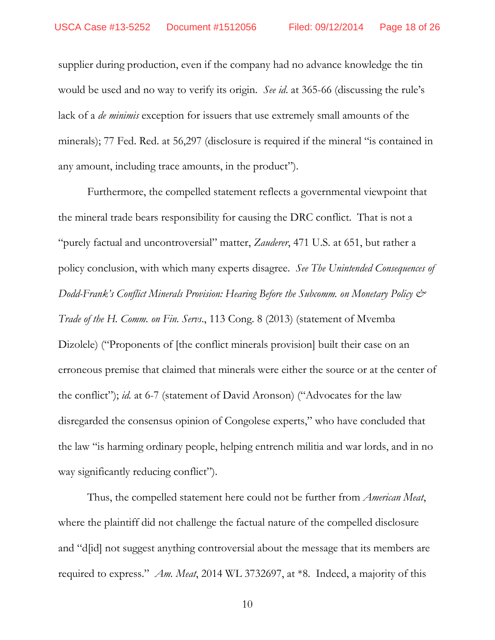supplier during production, even if the company had no advance knowledge the tin would be used and no way to verify its origin. *See id*. at 365-66 (discussing the rule's lack of a *de minimis* exception for issuers that use extremely small amounts of the minerals); 77 Fed. Red. at 56,297 (disclosure is required if the mineral "is contained in any amount, including trace amounts, in the product").

Furthermore, the compelled statement reflects a governmental viewpoint that the mineral trade bears responsibility for causing the DRC conflict. That is not a "purely factual and uncontroversial" matter, *Zauderer*, 471 U.S. at 651, but rather a policy conclusion, with which many experts disagree. *See The Unintended Consequences of Dodd-Frank's Conflict Minerals Provision: Hearing Before the Subcomm. on Monetary Policy & Trade of the H. Comm. on Fin. Servs*., 113 Cong. 8 (2013) (statement of Mvemba Dizolele) ("Proponents of [the conflict minerals provision] built their case on an erroneous premise that claimed that minerals were either the source or at the center of the conflict"); *id.* at 6-7 (statement of David Aronson) ("Advocates for the law disregarded the consensus opinion of Congolese experts," who have concluded that the law "is harming ordinary people, helping entrench militia and war lords, and in no way significantly reducing conflict").

Thus, the compelled statement here could not be further from *American Meat*, where the plaintiff did not challenge the factual nature of the compelled disclosure and "d[id] not suggest anything controversial about the message that its members are required to express." *Am. Meat*, 2014 WL 3732697, at \*8. Indeed, a majority of this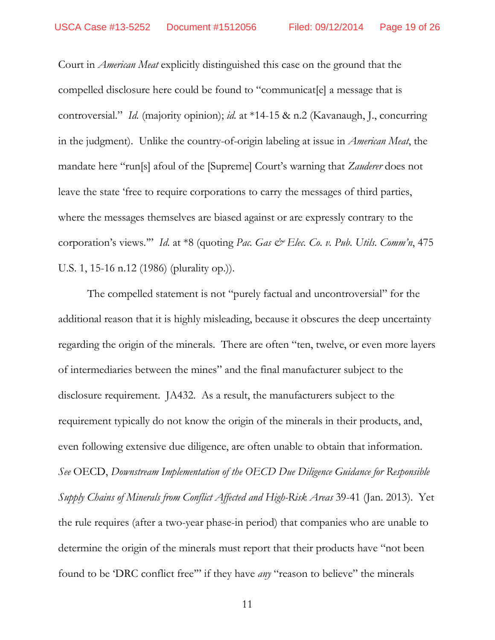Court in *American Meat* explicitly distinguished this case on the ground that the compelled disclosure here could be found to "communicat[e] a message that is controversial." *Id.* (majority opinion); *id.* at \*14-15 & n.2 (Kavanaugh, J., concurring in the judgment). Unlike the country-of-origin labeling at issue in *American Meat*, the mandate here "run[s] afoul of the [Supreme] Court's warning that *Zauderer* does not leave the state 'free to require corporations to carry the messages of third parties, where the messages themselves are biased against or are expressly contrary to the corporation's views."" *Id.* at \*8 (quoting Pac. Gas & Elec. Co. v. Pub. Utils. Comm'n, 475 U.S. 1, 15-16 n.12 (1986) (plurality op.)).

The compelled statement is not "purely factual and uncontroversial" for the additional reason that it is highly misleading, because it obscures the deep uncertainty regarding the origin of the minerals. There are often "ten, twelve, or even more layers of intermediaries between the mines" and the final manufacturer subject to the disclosure requirement. JA432. As a result, the manufacturers subject to the requirement typically do not know the origin of the minerals in their products, and, even following extensive due diligence, are often unable to obtain that information. *See* OECD, *Downstream Implementation of the OECD Due Diligence Guidance for Responsible Supply Chains of Minerals from Conflict Affected and High-Risk Areas* 39-41 (Jan. 2013). Yet the rule requires (after a two-year phase-in period) that companies who are unable to determine the origin of the minerals must report that their products have "not been found to be 'DRC conflict free'" if they have *any* "reason to believe" the minerals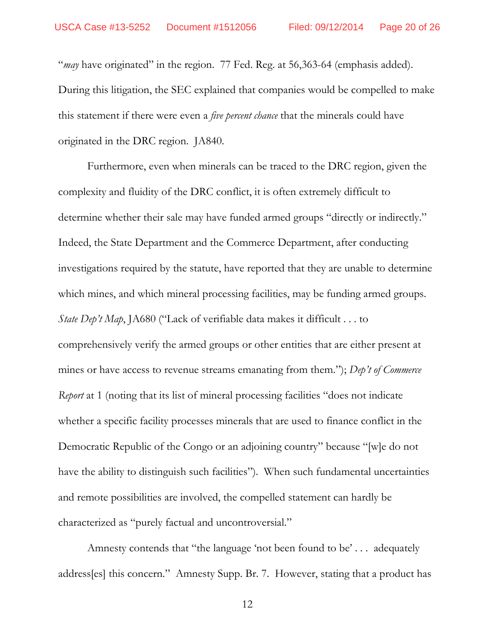"*may* have originated" in the region. 77 Fed. Reg. at 56,363-64 (emphasis added). During this litigation, the SEC explained that companies would be compelled to make this statement if there were even a *five percent chance* that the minerals could have originated in the DRC region. JA840.

Furthermore, even when minerals can be traced to the DRC region, given the complexity and fluidity of the DRC conflict, it is often extremely difficult to determine whether their sale may have funded armed groups "directly or indirectly." Indeed, the State Department and the Commerce Department, after conducting investigations required by the statute, have reported that they are unable to determine which mines, and which mineral processing facilities, may be funding armed groups. *State Dep't Map*, JA680 ("Lack of verifiable data makes it difficult . . . to comprehensively verify the armed groups or other entities that are either present at mines or have access to revenue streams emanating from them."); *Dep't of Commerce Report* at 1 (noting that its list of mineral processing facilities "does not indicate whether a specific facility processes minerals that are used to finance conflict in the Democratic Republic of the Congo or an adjoining country" because "[w]e do not have the ability to distinguish such facilities"). When such fundamental uncertainties and remote possibilities are involved, the compelled statement can hardly be characterized as "purely factual and uncontroversial."

Amnesty contends that "the language 'not been found to be' . . . adequately address[es] this concern." Amnesty Supp. Br. 7. However, stating that a product has

12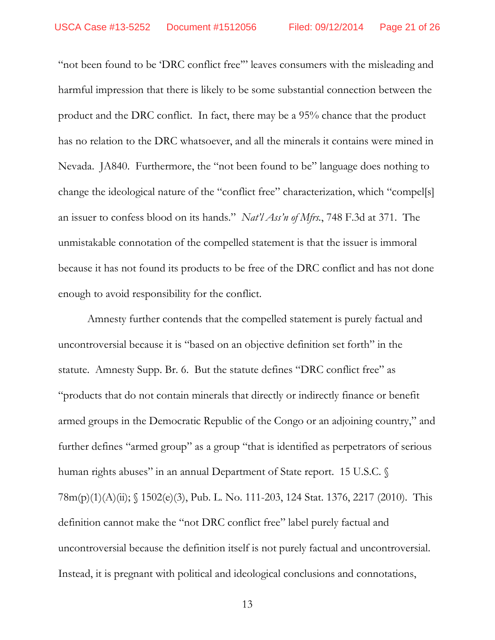"not been found to be 'DRC conflict free'" leaves consumers with the misleading and harmful impression that there is likely to be some substantial connection between the product and the DRC conflict. In fact, there may be a 95% chance that the product has no relation to the DRC whatsoever, and all the minerals it contains were mined in Nevada. JA840. Furthermore, the "not been found to be" language does nothing to change the ideological nature of the "conflict free" characterization, which "compel[s] an issuer to confess blood on its hands." *Nat'l Ass'n of Mfrs.*, 748 F.3d at 371. The unmistakable connotation of the compelled statement is that the issuer is immoral because it has not found its products to be free of the DRC conflict and has not done enough to avoid responsibility for the conflict.

Amnesty further contends that the compelled statement is purely factual and uncontroversial because it is "based on an objective definition set forth" in the statute. Amnesty Supp. Br. 6. But the statute defines "DRC conflict free" as "products that do not contain minerals that directly or indirectly finance or benefit armed groups in the Democratic Republic of the Congo or an adjoining country," and further defines "armed group" as a group "that is identified as perpetrators of serious human rights abuses" in an annual Department of State report. 15 U.S.C. § 78m(p)(1)(A)(ii); § 1502(e)(3), Pub. L. No. 111-203, 124 Stat. 1376, 2217 (2010). This definition cannot make the "not DRC conflict free" label purely factual and uncontroversial because the definition itself is not purely factual and uncontroversial. Instead, it is pregnant with political and ideological conclusions and connotations,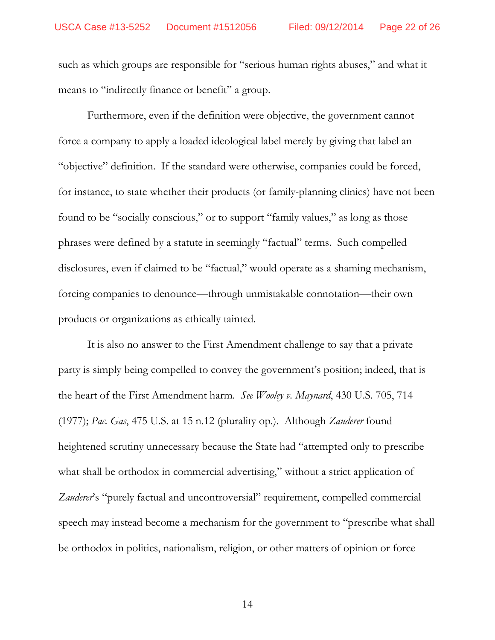such as which groups are responsible for "serious human rights abuses," and what it means to "indirectly finance or benefit" a group.

Furthermore, even if the definition were objective, the government cannot force a company to apply a loaded ideological label merely by giving that label an "objective" definition. If the standard were otherwise, companies could be forced, for instance, to state whether their products (or family-planning clinics) have not been found to be "socially conscious," or to support "family values," as long as those phrases were defined by a statute in seemingly "factual" terms. Such compelled disclosures, even if claimed to be "factual," would operate as a shaming mechanism, forcing companies to denounce—through unmistakable connotation—their own products or organizations as ethically tainted.

It is also no answer to the First Amendment challenge to say that a private party is simply being compelled to convey the government's position; indeed, that is the heart of the First Amendment harm. *See Wooley v. Maynard*, 430 U.S. 705, 714 (1977); *Pac. Gas*, 475 U.S. at 15 n.12 (plurality op.). Although *Zauderer* found heightened scrutiny unnecessary because the State had "attempted only to prescribe what shall be orthodox in commercial advertising," without a strict application of Zauderer's "purely factual and uncontroversial" requirement, compelled commercial speech may instead become a mechanism for the government to "prescribe what shall be orthodox in politics, nationalism, religion, or other matters of opinion or force

14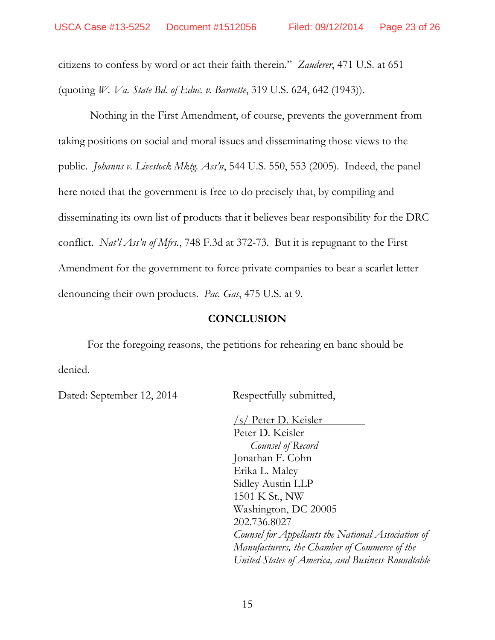citizens to confess by word or act their faith therein." *Zauderer*, 471 U.S. at 651 (quoting *W. Va. State Bd. of Educ. v. Barnette*, 319 U.S. 624, 642 (1943)).

Nothing in the First Amendment, of course, prevents the government from taking positions on social and moral issues and disseminating those views to the public. *Johanns v. Livestock Mktg. Ass'n*, 544 U.S. 550, 553 (2005). Indeed, the panel here noted that the government is free to do precisely that, by compiling and disseminating its own list of products that it believes bear responsibility for the DRC conflict. *Nat'l Ass'n of Mfrs.*, 748 F.3d at 372-73. But it is repugnant to the First Amendment for the government to force private companies to bear a scarlet letter denouncing their own products. *Pac. Gas*, 475 U.S. at 9.

## **CONCLUSION**

For the foregoing reasons, the petitions for rehearing en banc should be denied.

Dated: September 12, 2014 Respectfully submitted,

/s/ Peter D. Keisler Peter D. Keisler *Counsel of Record* Jonathan F. Cohn Erika L. Maley Sidley Austin LLP 1501 K St., NW Washington, DC 20005 202.736.8027 *Counsel for Appellants the National Association of Manufacturers, the Chamber of Commerce of the United States of America, and Business Roundtable*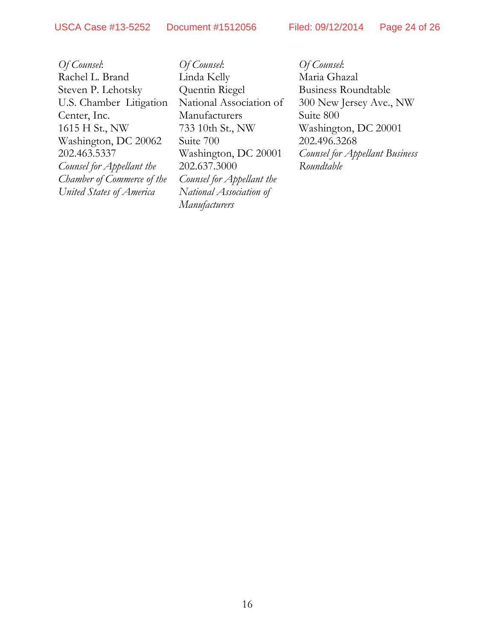USCA Case #13-5252 Document #1512056 Filed: 09/12/2014 Page 24 of 26

*Of Counsel*: Rachel L. Brand Steven P. Lehotsky U.S. Chamber Litigation Center, Inc. 1615 H St., NW Washington, DC 20062 202.463.5337 *Counsel for Appellant the Chamber of Commerce of the United States of America*

*Of Counsel*: Linda Kelly Quentin Riegel National Association of Manufacturers 733 10th St., NW Suite 700 Washington, DC 20001 202.637.3000 *Counsel for Appellant the National Association of Manufacturers*

*Of Counsel*: Maria Ghazal Business Roundtable 300 New Jersey Ave., NW Suite 800 Washington, DC 20001 202.496.3268 *Counsel for Appellant Business Roundtable*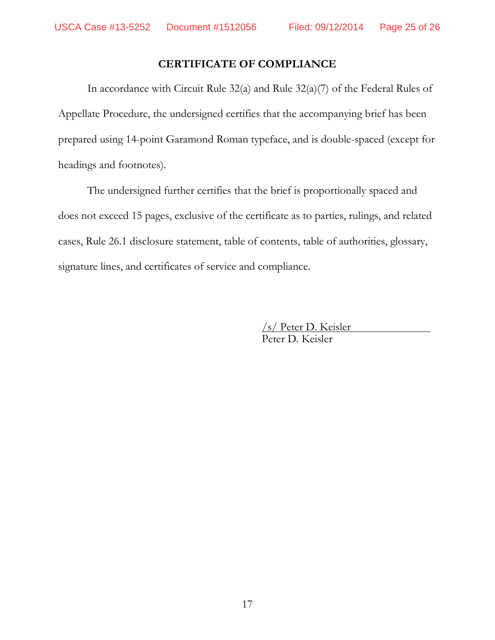# **CERTIFICATE OF COMPLIANCE**

In accordance with Circuit Rule 32(a) and Rule 32(a)(7) of the Federal Rules of Appellate Procedure, the undersigned certifies that the accompanying brief has been prepared using 14-point Garamond Roman typeface, and is double-spaced (except for headings and footnotes).

The undersigned further certifies that the brief is proportionally spaced and does not exceed 15 pages, exclusive of the certificate as to parties, rulings, and related cases, Rule 26.1 disclosure statement, table of contents, table of authorities, glossary, signature lines, and certificates of service and compliance.

> /s/ Peter D. Keisler Peter D. Keisler